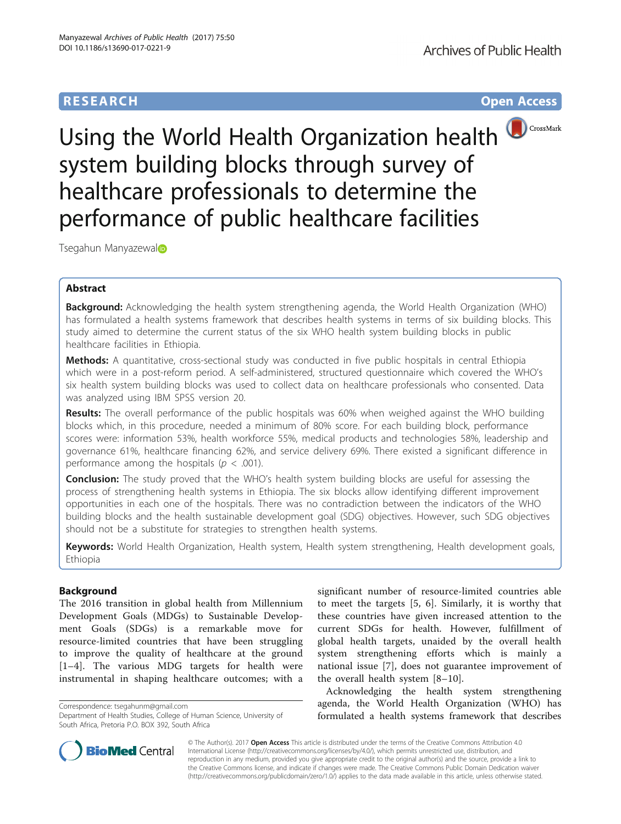# **RESEARCH CHE Open Access**



Using the World Health Organization health **O**CrossMark system building blocks through survey of healthcare professionals to determine the performance of public healthcare facilities

Tsegahun Manyazewa[l](http://orcid.org/0000-0002-8360-7574)

## Abstract

Background: Acknowledging the health system strengthening agenda, the World Health Organization (WHO) has formulated a health systems framework that describes health systems in terms of six building blocks. This study aimed to determine the current status of the six WHO health system building blocks in public healthcare facilities in Ethiopia.

Methods: A quantitative, cross-sectional study was conducted in five public hospitals in central Ethiopia which were in a post-reform period. A self-administered, structured questionnaire which covered the WHO's six health system building blocks was used to collect data on healthcare professionals who consented. Data was analyzed using IBM SPSS version 20.

Results: The overall performance of the public hospitals was 60% when weighed against the WHO building blocks which, in this procedure, needed a minimum of 80% score. For each building block, performance scores were: information 53%, health workforce 55%, medical products and technologies 58%, leadership and governance 61%, healthcare financing 62%, and service delivery 69%. There existed a significant difference in performance among the hospitals ( $p < .001$ ).

**Conclusion:** The study proved that the WHO's health system building blocks are useful for assessing the process of strengthening health systems in Ethiopia. The six blocks allow identifying different improvement opportunities in each one of the hospitals. There was no contradiction between the indicators of the WHO building blocks and the health sustainable development goal (SDG) objectives. However, such SDG objectives should not be a substitute for strategies to strengthen health systems.

Keywords: World Health Organization, Health system, Health system strengthening, Health development goals, Ethiopia

## Background

The 2016 transition in global health from Millennium Development Goals (MDGs) to Sustainable Development Goals (SDGs) is a remarkable move for resource-limited countries that have been struggling to improve the quality of healthcare at the ground [[1](#page-6-0)–[4\]](#page-6-0). The various MDG targets for health were instrumental in shaping healthcare outcomes; with a

Correspondence: [tsegahunm@gmail.com](mailto:tsegahunm@gmail.com)

significant number of resource-limited countries able to meet the targets [[5](#page-6-0), [6](#page-6-0)]. Similarly, it is worthy that these countries have given increased attention to the current SDGs for health. However, fulfillment of global health targets, unaided by the overall health system strengthening efforts which is mainly a national issue [\[7](#page-6-0)], does not guarantee improvement of the overall health system [[8](#page-6-0)–[10\]](#page-6-0).

Acknowledging the health system strengthening agenda, the World Health Organization (WHO) has formulated a health systems framework that describes



© The Author(s). 2017 **Open Access** This article is distributed under the terms of the Creative Commons Attribution 4.0 International License [\(http://creativecommons.org/licenses/by/4.0/](http://creativecommons.org/licenses/by/4.0/)), which permits unrestricted use, distribution, and reproduction in any medium, provided you give appropriate credit to the original author(s) and the source, provide a link to the Creative Commons license, and indicate if changes were made. The Creative Commons Public Domain Dedication waiver [\(http://creativecommons.org/publicdomain/zero/1.0/](http://creativecommons.org/publicdomain/zero/1.0/)) applies to the data made available in this article, unless otherwise stated.

Department of Health Studies, College of Human Science, University of South Africa, Pretoria P.O. BOX 392, South Africa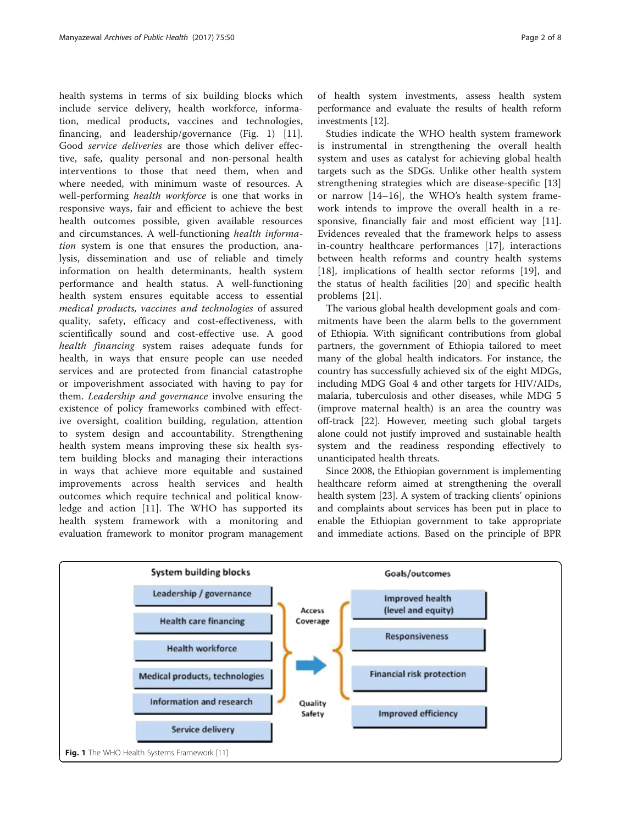health systems in terms of six building blocks which include service delivery, health workforce, information, medical products, vaccines and technologies, financing, and leadership/governance (Fig. 1) [\[11](#page-6-0)]. Good service deliveries are those which deliver effective, safe, quality personal and non-personal health interventions to those that need them, when and where needed, with minimum waste of resources. A well-performing health workforce is one that works in responsive ways, fair and efficient to achieve the best health outcomes possible, given available resources and circumstances. A well-functioning health information system is one that ensures the production, analysis, dissemination and use of reliable and timely information on health determinants, health system performance and health status. A well-functioning health system ensures equitable access to essential medical products, vaccines and technologies of assured quality, safety, efficacy and cost-effectiveness, with scientifically sound and cost-effective use. A good health financing system raises adequate funds for health, in ways that ensure people can use needed services and are protected from financial catastrophe or impoverishment associated with having to pay for them. Leadership and governance involve ensuring the existence of policy frameworks combined with effective oversight, coalition building, regulation, attention to system design and accountability. Strengthening health system means improving these six health system building blocks and managing their interactions in ways that achieve more equitable and sustained improvements across health services and health outcomes which require technical and political knowledge and action [\[11](#page-6-0)]. The WHO has supported its health system framework with a monitoring and evaluation framework to monitor program management

of health system investments, assess health system performance and evaluate the results of health reform investments [\[12\]](#page-6-0).

Studies indicate the WHO health system framework is instrumental in strengthening the overall health system and uses as catalyst for achieving global health targets such as the SDGs. Unlike other health system strengthening strategies which are disease-specific [\[13](#page-6-0)] or narrow [[14](#page-6-0)–[16\]](#page-6-0), the WHO's health system framework intends to improve the overall health in a responsive, financially fair and most efficient way [\[11](#page-6-0)]. Evidences revealed that the framework helps to assess in-country healthcare performances [\[17](#page-6-0)], interactions between health reforms and country health systems [[18\]](#page-6-0), implications of health sector reforms [\[19](#page-6-0)], and the status of health facilities [\[20](#page-6-0)] and specific health problems [[21\]](#page-6-0).

The various global health development goals and commitments have been the alarm bells to the government of Ethiopia. With significant contributions from global partners, the government of Ethiopia tailored to meet many of the global health indicators. For instance, the country has successfully achieved six of the eight MDGs, including MDG Goal 4 and other targets for HIV/AIDs, malaria, tuberculosis and other diseases, while MDG 5 (improve maternal health) is an area the country was off-track [\[22](#page-6-0)]. However, meeting such global targets alone could not justify improved and sustainable health system and the readiness responding effectively to unanticipated health threats.

Since 2008, the Ethiopian government is implementing healthcare reform aimed at strengthening the overall health system [[23](#page-7-0)]. A system of tracking clients' opinions and complaints about services has been put in place to enable the Ethiopian government to take appropriate and immediate actions. Based on the principle of BPR

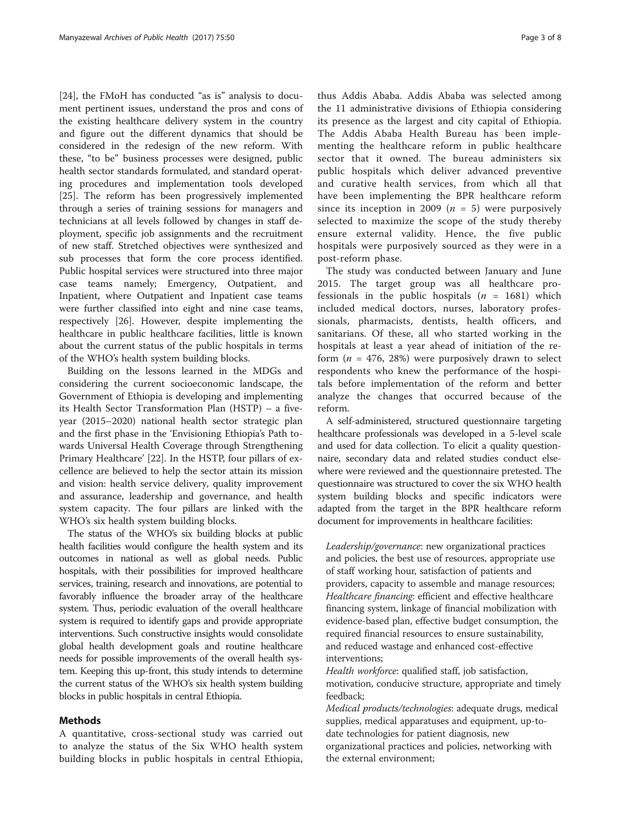[[24\]](#page-7-0), the FMoH has conducted "as is" analysis to document pertinent issues, understand the pros and cons of the existing healthcare delivery system in the country and figure out the different dynamics that should be considered in the redesign of the new reform. With these, "to be" business processes were designed, public health sector standards formulated, and standard operating procedures and implementation tools developed [[25\]](#page-7-0). The reform has been progressively implemented through a series of training sessions for managers and technicians at all levels followed by changes in staff deployment, specific job assignments and the recruitment of new staff. Stretched objectives were synthesized and sub processes that form the core process identified. Public hospital services were structured into three major case teams namely; Emergency, Outpatient, and Inpatient, where Outpatient and Inpatient case teams were further classified into eight and nine case teams, respectively [[26\]](#page-7-0). However, despite implementing the healthcare in public healthcare facilities, little is known about the current status of the public hospitals in terms of the WHO's health system building blocks.

Building on the lessons learned in the MDGs and considering the current socioeconomic landscape, the Government of Ethiopia is developing and implementing its Health Sector Transformation Plan (HSTP) – a fiveyear (2015–2020) national health sector strategic plan and the first phase in the 'Envisioning Ethiopia's Path towards Universal Health Coverage through Strengthening Primary Healthcare' [[22](#page-6-0)]. In the HSTP, four pillars of excellence are believed to help the sector attain its mission and vision: health service delivery, quality improvement and assurance, leadership and governance, and health system capacity. The four pillars are linked with the WHO's six health system building blocks.

The status of the WHO's six building blocks at public health facilities would configure the health system and its outcomes in national as well as global needs. Public hospitals, with their possibilities for improved healthcare services, training, research and innovations, are potential to favorably influence the broader array of the healthcare system. Thus, periodic evaluation of the overall healthcare system is required to identify gaps and provide appropriate interventions. Such constructive insights would consolidate global health development goals and routine healthcare needs for possible improvements of the overall health system. Keeping this up-front, this study intends to determine the current status of the WHO's six health system building blocks in public hospitals in central Ethiopia.

### Methods

A quantitative, cross-sectional study was carried out to analyze the status of the Six WHO health system building blocks in public hospitals in central Ethiopia,

thus Addis Ababa. Addis Ababa was selected among the 11 administrative divisions of Ethiopia considering its presence as the largest and city capital of Ethiopia. The Addis Ababa Health Bureau has been implementing the healthcare reform in public healthcare sector that it owned. The bureau administers six public hospitals which deliver advanced preventive and curative health services, from which all that have been implementing the BPR healthcare reform since its inception in 2009 ( $n = 5$ ) were purposively selected to maximize the scope of the study thereby ensure external validity. Hence, the five public hospitals were purposively sourced as they were in a post-reform phase.

The study was conducted between January and June 2015. The target group was all healthcare professionals in the public hospitals  $(n = 1681)$  which included medical doctors, nurses, laboratory professionals, pharmacists, dentists, health officers, and sanitarians. Of these, all who started working in the hospitals at least a year ahead of initiation of the reform ( $n = 476, 28\%$ ) were purposively drawn to select respondents who knew the performance of the hospitals before implementation of the reform and better analyze the changes that occurred because of the reform.

A self-administered, structured questionnaire targeting healthcare professionals was developed in a 5-level scale and used for data collection. To elicit a quality questionnaire, secondary data and related studies conduct elsewhere were reviewed and the questionnaire pretested. The questionnaire was structured to cover the six WHO health system building blocks and specific indicators were adapted from the target in the BPR healthcare reform document for improvements in healthcare facilities:

Leadership/governance: new organizational practices and policies, the best use of resources, appropriate use of staff working hour, satisfaction of patients and providers, capacity to assemble and manage resources; Healthcare financing: efficient and effective healthcare financing system, linkage of financial mobilization with evidence-based plan, effective budget consumption, the required financial resources to ensure sustainability, and reduced wastage and enhanced cost-effective interventions;

Health workforce: qualified staff, job satisfaction, motivation, conducive structure, appropriate and timely feedback;

Medical products/technologies: adequate drugs, medical supplies, medical apparatuses and equipment, up-todate technologies for patient diagnosis, new organizational practices and policies, networking with the external environment;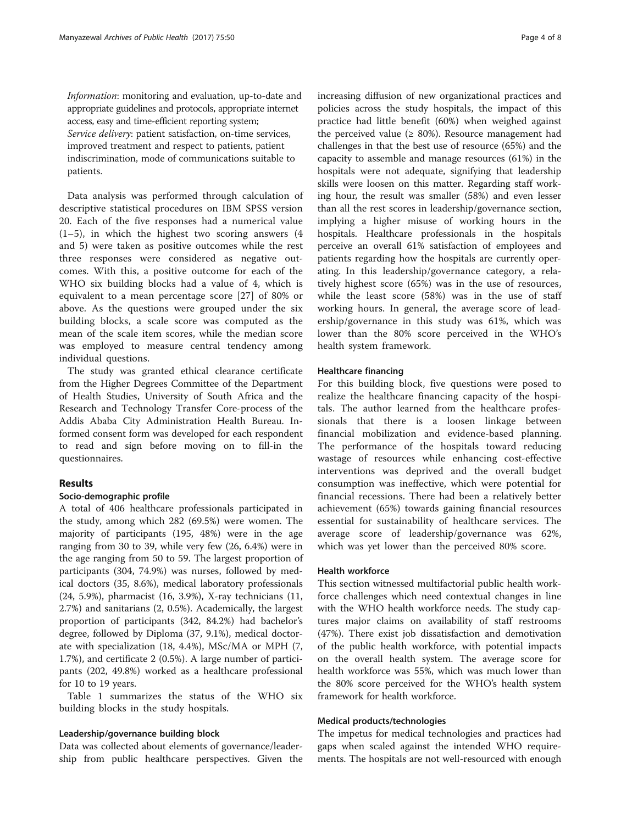Information: monitoring and evaluation, up-to-date and appropriate guidelines and protocols, appropriate internet access, easy and time-efficient reporting system; Service delivery: patient satisfaction, on-time services, improved treatment and respect to patients, patient indiscrimination, mode of communications suitable to patients.

Data analysis was performed through calculation of descriptive statistical procedures on IBM SPSS version 20. Each of the five responses had a numerical value  $(1-5)$ , in which the highest two scoring answers  $(4)$ and 5) were taken as positive outcomes while the rest three responses were considered as negative outcomes. With this, a positive outcome for each of the WHO six building blocks had a value of 4, which is equivalent to a mean percentage score [[27\]](#page-7-0) of 80% or above. As the questions were grouped under the six building blocks, a scale score was computed as the mean of the scale item scores, while the median score was employed to measure central tendency among individual questions.

The study was granted ethical clearance certificate from the Higher Degrees Committee of the Department of Health Studies, University of South Africa and the Research and Technology Transfer Core-process of the Addis Ababa City Administration Health Bureau. Informed consent form was developed for each respondent to read and sign before moving on to fill-in the questionnaires.

### Results

### Socio-demographic profile

A total of 406 healthcare professionals participated in the study, among which 282 (69.5%) were women. The majority of participants (195, 48%) were in the age ranging from 30 to 39, while very few (26, 6.4%) were in the age ranging from 50 to 59. The largest proportion of participants (304, 74.9%) was nurses, followed by medical doctors (35, 8.6%), medical laboratory professionals (24, 5.9%), pharmacist (16, 3.9%), X-ray technicians (11, 2.7%) and sanitarians (2, 0.5%). Academically, the largest proportion of participants (342, 84.2%) had bachelor's degree, followed by Diploma (37, 9.1%), medical doctorate with specialization (18, 4.4%), MSc/MA or MPH (7, 1.7%), and certificate 2 (0.5%). A large number of participants (202, 49.8%) worked as a healthcare professional for 10 to 19 years.

Table [1](#page-4-0) summarizes the status of the WHO six building blocks in the study hospitals.

### Leadership/governance building block

Data was collected about elements of governance/leadership from public healthcare perspectives. Given the

increasing diffusion of new organizational practices and policies across the study hospitals, the impact of this practice had little benefit (60%) when weighed against the perceived value ( $\geq 80\%$ ). Resource management had challenges in that the best use of resource (65%) and the capacity to assemble and manage resources (61%) in the hospitals were not adequate, signifying that leadership skills were loosen on this matter. Regarding staff working hour, the result was smaller (58%) and even lesser than all the rest scores in leadership/governance section, implying a higher misuse of working hours in the hospitals. Healthcare professionals in the hospitals perceive an overall 61% satisfaction of employees and patients regarding how the hospitals are currently operating. In this leadership/governance category, a relatively highest score (65%) was in the use of resources, while the least score (58%) was in the use of staff working hours. In general, the average score of leadership/governance in this study was 61%, which was lower than the 80% score perceived in the WHO's health system framework.

### Healthcare financing

For this building block, five questions were posed to realize the healthcare financing capacity of the hospitals. The author learned from the healthcare professionals that there is a loosen linkage between financial mobilization and evidence-based planning. The performance of the hospitals toward reducing wastage of resources while enhancing cost-effective interventions was deprived and the overall budget consumption was ineffective, which were potential for financial recessions. There had been a relatively better achievement (65%) towards gaining financial resources essential for sustainability of healthcare services. The average score of leadership/governance was 62%, which was yet lower than the perceived 80% score.

### Health workforce

This section witnessed multifactorial public health workforce challenges which need contextual changes in line with the WHO health workforce needs. The study captures major claims on availability of staff restrooms (47%). There exist job dissatisfaction and demotivation of the public health workforce, with potential impacts on the overall health system. The average score for health workforce was 55%, which was much lower than the 80% score perceived for the WHO's health system framework for health workforce.

### Medical products/technologies

The impetus for medical technologies and practices had gaps when scaled against the intended WHO requirements. The hospitals are not well-resourced with enough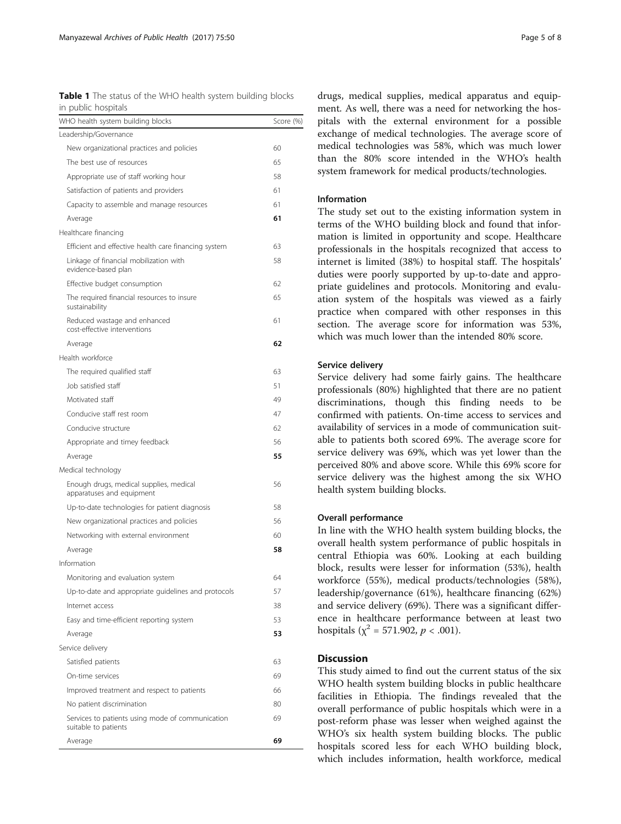<span id="page-4-0"></span>Table 1 The status of the WHO health system building blocks in public hospitals

| WHO health system building blocks                                        | Score (%) |
|--------------------------------------------------------------------------|-----------|
| Leadership/Governance                                                    |           |
| New organizational practices and policies                                | 60        |
| The best use of resources                                                | 65        |
| Appropriate use of staff working hour                                    | 58        |
| Satisfaction of patients and providers                                   | 61        |
| Capacity to assemble and manage resources                                | 61        |
| Average                                                                  | 61        |
| Healthcare financing                                                     |           |
| Efficient and effective health care financing system                     | 63        |
| Linkage of financial mobilization with<br>evidence-based plan            | 58        |
| Effective budget consumption                                             | 62        |
| The required financial resources to insure<br>sustainability             | 65        |
| Reduced wastage and enhanced<br>cost-effective interventions             | 61        |
| Average                                                                  | 62        |
| Health workforce                                                         |           |
| The required qualified staff                                             | 63        |
| Job satisfied staff                                                      | 51        |
| Motivated staff                                                          | 49        |
| Conducive staff rest room                                                | 47        |
| Conducive structure                                                      | 62        |
| Appropriate and timey feedback                                           | 56        |
| Average                                                                  | 55        |
| Medical technology                                                       |           |
| Enough drugs, medical supplies, medical<br>apparatuses and equipment     | 56        |
| Up-to-date technologies for patient diagnosis                            | 58        |
| New organizational practices and policies                                | 56        |
| Networking with external environment                                     | 60        |
| Average                                                                  | 58        |
| Information                                                              |           |
| Monitoring and evaluation system                                         | 64        |
| Up-to-date and appropriate guidelines and protocols                      | 57        |
| Internet access                                                          | 38        |
| Easy and time-efficient reporting system                                 | 53        |
| Average                                                                  | 53        |
| Service delivery                                                         |           |
| Satisfied patients                                                       | 63        |
| On-time services                                                         | 69        |
| Improved treatment and respect to patients                               | 66        |
| No patient discrimination                                                | 80        |
| Services to patients using mode of communication<br>suitable to patients | 69        |
| Average                                                                  | 69        |

drugs, medical supplies, medical apparatus and equipment. As well, there was a need for networking the hospitals with the external environment for a possible exchange of medical technologies. The average score of medical technologies was 58%, which was much lower than the 80% score intended in the WHO's health system framework for medical products/technologies.

#### Information

The study set out to the existing information system in terms of the WHO building block and found that information is limited in opportunity and scope. Healthcare professionals in the hospitals recognized that access to internet is limited (38%) to hospital staff. The hospitals' duties were poorly supported by up-to-date and appropriate guidelines and protocols. Monitoring and evaluation system of the hospitals was viewed as a fairly practice when compared with other responses in this section. The average score for information was 53%, which was much lower than the intended 80% score.

#### Service delivery

Service delivery had some fairly gains. The healthcare professionals (80%) highlighted that there are no patient discriminations, though this finding needs to be confirmed with patients. On-time access to services and availability of services in a mode of communication suitable to patients both scored 69%. The average score for service delivery was 69%, which was yet lower than the perceived 80% and above score. While this 69% score for service delivery was the highest among the six WHO health system building blocks.

### Overall performance

In line with the WHO health system building blocks, the overall health system performance of public hospitals in central Ethiopia was 60%. Looking at each building block, results were lesser for information (53%), health workforce (55%), medical products/technologies (58%), leadership/governance (61%), healthcare financing (62%) and service delivery (69%). There was a significant difference in healthcare performance between at least two hospitals ( $\chi^2$  = 571.902, *p* < .001).

### **Discussion**

This study aimed to find out the current status of the six WHO health system building blocks in public healthcare facilities in Ethiopia. The findings revealed that the overall performance of public hospitals which were in a post-reform phase was lesser when weighed against the WHO's six health system building blocks. The public hospitals scored less for each WHO building block, which includes information, health workforce, medical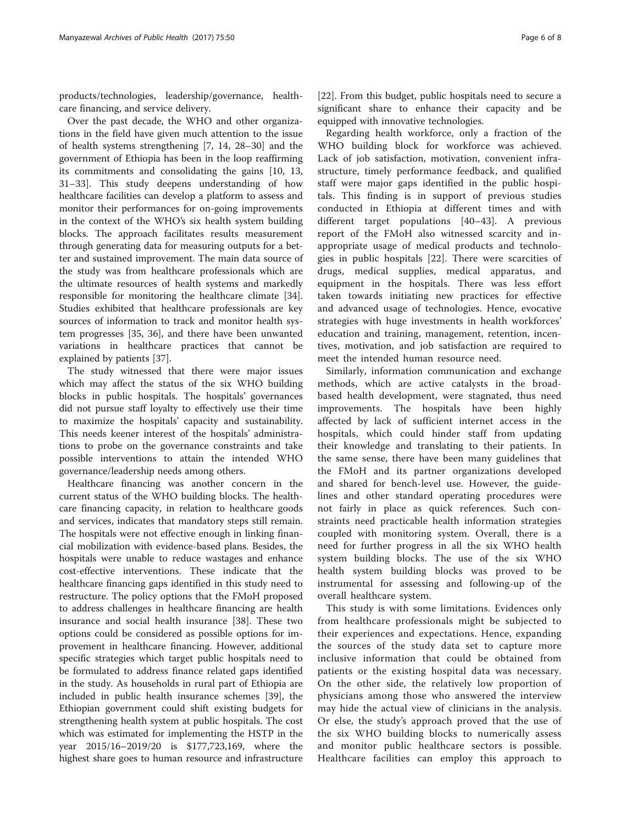products/technologies, leadership/governance, healthcare financing, and service delivery.

Over the past decade, the WHO and other organizations in the field have given much attention to the issue of health systems strengthening [[7, 14](#page-6-0), [28](#page-7-0)–[30\]](#page-7-0) and the government of Ethiopia has been in the loop reaffirming its commitments and consolidating the gains [\[10](#page-6-0), [13](#page-6-0), [31](#page-7-0)–[33](#page-7-0)]. This study deepens understanding of how healthcare facilities can develop a platform to assess and monitor their performances for on-going improvements in the context of the WHO's six health system building blocks. The approach facilitates results measurement through generating data for measuring outputs for a better and sustained improvement. The main data source of the study was from healthcare professionals which are the ultimate resources of health systems and markedly responsible for monitoring the healthcare climate [\[34](#page-7-0)]. Studies exhibited that healthcare professionals are key sources of information to track and monitor health system progresses [[35, 36\]](#page-7-0), and there have been unwanted variations in healthcare practices that cannot be explained by patients [\[37](#page-7-0)].

The study witnessed that there were major issues which may affect the status of the six WHO building blocks in public hospitals. The hospitals' governances did not pursue staff loyalty to effectively use their time to maximize the hospitals' capacity and sustainability. This needs keener interest of the hospitals' administrations to probe on the governance constraints and take possible interventions to attain the intended WHO governance/leadership needs among others.

Healthcare financing was another concern in the current status of the WHO building blocks. The healthcare financing capacity, in relation to healthcare goods and services, indicates that mandatory steps still remain. The hospitals were not effective enough in linking financial mobilization with evidence-based plans. Besides, the hospitals were unable to reduce wastages and enhance cost-effective interventions. These indicate that the healthcare financing gaps identified in this study need to restructure. The policy options that the FMoH proposed to address challenges in healthcare financing are health insurance and social health insurance [\[38\]](#page-7-0). These two options could be considered as possible options for improvement in healthcare financing. However, additional specific strategies which target public hospitals need to be formulated to address finance related gaps identified in the study. As households in rural part of Ethiopia are included in public health insurance schemes [\[39](#page-7-0)], the Ethiopian government could shift existing budgets for strengthening health system at public hospitals. The cost which was estimated for implementing the HSTP in the year 2015/16–2019/20 is \$177,723,169, where the highest share goes to human resource and infrastructure

[[22\]](#page-6-0). From this budget, public hospitals need to secure a significant share to enhance their capacity and be equipped with innovative technologies.

Regarding health workforce, only a fraction of the WHO building block for workforce was achieved. Lack of job satisfaction, motivation, convenient infrastructure, timely performance feedback, and qualified staff were major gaps identified in the public hospitals. This finding is in support of previous studies conducted in Ethiopia at different times and with different target populations [\[40](#page-7-0)–[43](#page-7-0)]. A previous report of the FMoH also witnessed scarcity and inappropriate usage of medical products and technologies in public hospitals [\[22](#page-6-0)]. There were scarcities of drugs, medical supplies, medical apparatus, and equipment in the hospitals. There was less effort taken towards initiating new practices for effective and advanced usage of technologies. Hence, evocative strategies with huge investments in health workforces' education and training, management, retention, incentives, motivation, and job satisfaction are required to meet the intended human resource need.

Similarly, information communication and exchange methods, which are active catalysts in the broadbased health development, were stagnated, thus need improvements. The hospitals have been highly affected by lack of sufficient internet access in the hospitals, which could hinder staff from updating their knowledge and translating to their patients. In the same sense, there have been many guidelines that the FMoH and its partner organizations developed and shared for bench-level use. However, the guidelines and other standard operating procedures were not fairly in place as quick references. Such constraints need practicable health information strategies coupled with monitoring system. Overall, there is a need for further progress in all the six WHO health system building blocks. The use of the six WHO health system building blocks was proved to be instrumental for assessing and following-up of the overall healthcare system.

This study is with some limitations. Evidences only from healthcare professionals might be subjected to their experiences and expectations. Hence, expanding the sources of the study data set to capture more inclusive information that could be obtained from patients or the existing hospital data was necessary. On the other side, the relatively low proportion of physicians among those who answered the interview may hide the actual view of clinicians in the analysis. Or else, the study's approach proved that the use of the six WHO building blocks to numerically assess and monitor public healthcare sectors is possible. Healthcare facilities can employ this approach to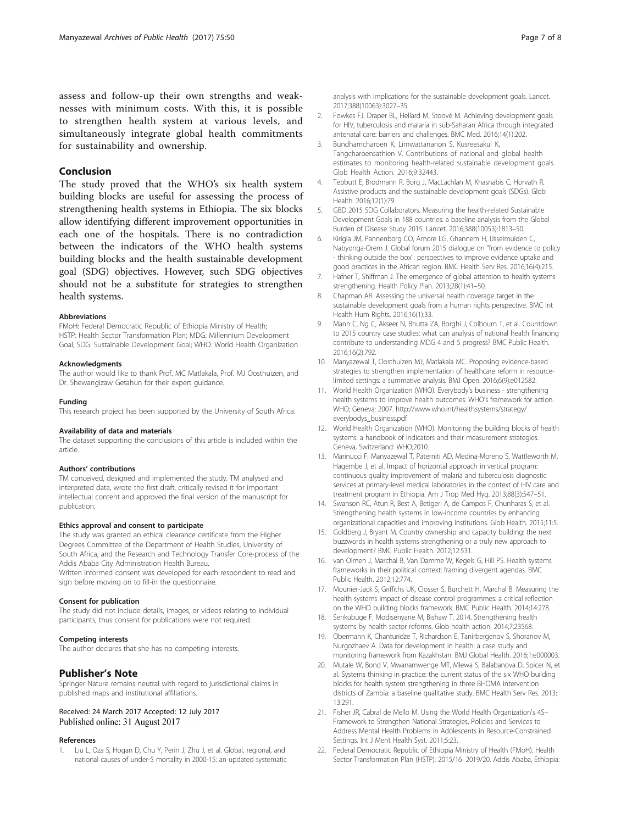<span id="page-6-0"></span>assess and follow-up their own strengths and weaknesses with minimum costs. With this, it is possible to strengthen health system at various levels, and simultaneously integrate global health commitments for sustainability and ownership.

### Conclusion

The study proved that the WHO's six health system building blocks are useful for assessing the process of strengthening health systems in Ethiopia. The six blocks allow identifying different improvement opportunities in each one of the hospitals. There is no contradiction between the indicators of the WHO health systems building blocks and the health sustainable development goal (SDG) objectives. However, such SDG objectives should not be a substitute for strategies to strengthen health systems.

#### Abbreviations

FMoH: Federal Democratic Republic of Ethiopia Ministry of Health; HSTP: Health Sector Transformation Plan; MDG: Millennium Development Goal; SDG: Sustainable Development Goal; WHO: World Health Organization

#### **Acknowledaments**

The author would like to thank Prof. MC Matlakala, Prof. MJ Oosthuizen, and Dr. Shewangizaw Getahun for their expert guidance.

#### Funding

This research project has been supported by the University of South Africa.

#### Availability of data and materials

The dataset supporting the conclusions of this article is included within the article.

#### Authors' contributions

TM conceived, designed and implemented the study. TM analysed and interpreted data, wrote the first draft, critically revised it for important intellectual content and approved the final version of the manuscript for publication.

#### Ethics approval and consent to participate

The study was granted an ethical clearance certificate from the Higher Degrees Committee of the Department of Health Studies, University of South Africa, and the Research and Technology Transfer Core-process of the Addis Ababa City Administration Health Bureau. Written informed consent was developed for each respondent to read and

sign before moving on to fill-in the questionnaire.

#### Consent for publication

The study did not include details, images, or videos relating to individual participants, thus consent for publications were not required.

#### Competing interests

The author declares that she has no competing interests.

#### Publisher's Note

Springer Nature remains neutral with regard to jurisdictional claims in published maps and institutional affiliations.

#### Received: 24 March 2017 Accepted: 12 July 2017 Published online: 31 August 2017

#### References

1. Liu L, Oza S, Hogan D, Chu Y, Perin J, Zhu J, et al. Global, regional, and national causes of under-5 mortality in 2000-15: an updated systematic analysis with implications for the sustainable development goals. Lancet. 2017;388(10063):3027–35.

- 2. Fowkes FJ, Draper BL, Hellard M, Stoové M. Achieving development goals for HIV, tuberculosis and malaria in sub-Saharan Africa through integrated antenatal care: barriers and challenges. BMC Med. 2016;14(1):202.
- 3. Bundhamcharoen K, Limwattananon S, Kusreesakul K, Tangcharoensathien V. Contributions of national and global health estimates to monitoring health-related sustainable development goals. Glob Health Action. 2016;9:32443.
- 4. Tebbutt E, Brodmann R, Borg J, MacLachlan M, Khasnabis C, Horvath R. Assistive products and the sustainable development goals (SDGs). Glob Health. 2016;12(1):79.
- 5. GBD 2015 SDG Collaborators. Measuring the health-related Sustainable Development Goals in 188 countries: a baseline analysis from the Global Burden of Disease Study 2015. Lancet. 2016;388(10053):1813–50.
- 6. Kirigia JM, Pannenborg CO, Amore LG, Ghannem H, IJsselmuiden C, Nabyonga-Orem J. Global forum 2015 dialogue on "from evidence to policy - thinking outside the box": perspectives to improve evidence uptake and good practices in the African region. BMC Health Serv Res. 2016;16(4):215.
- 7. Hafner T, Shiffman J. The emergence of global attention to health systems strengthening. Health Policy Plan. 2013;28(1):41–50.
- 8. Chapman AR. Assessing the universal health coverage target in the sustainable development goals from a human rights perspective. BMC Int Health Hum Rights. 2016;16(1):33.
- 9. Mann C, Ng C, Akseer N, Bhutta ZA, Borghi J, Colbourn T, et al. Countdown to 2015 country case studies: what can analysis of national health financing contribute to understanding MDG 4 and 5 progress? BMC Public Health. 2016;16(2):792.
- 10. Manyazewal T, Oosthuizen MJ, Matlakala MC. Proposing evidence-based strategies to strengthen implementation of healthcare reform in resourcelimited settings: a summative analysis. BMJ Open. 2016;6(9):e012582.
- 11. World Health Organization (WHO). Everybody's business strengthening health systems to improve health outcomes: WHO's framework for action. WHO; Geneva: 2007. [http://www.who.int/healthsystems/strategy/](http://www.who.int/healthsystems/strategy/everybodys_business.pdf) [everybodys\\_business.pdf](http://www.who.int/healthsystems/strategy/everybodys_business.pdf)
- 12. World Health Organization (WHO). Monitoring the building blocks of health systems: a handbook of indicators and their measurement strategies. Geneva, Switzerland: WHO;2010.
- 13. Marinucci F, Manyazewal T, Paterniti AD, Medina-Moreno S, Wattleworth M, Hagembe J, et al. Impact of horizontal approach in vertical program: continuous quality improvement of malaria and tuberculosis diagnostic services at primary-level medical laboratories in the context of HIV care and treatment program in Ethiopia. Am J Trop Med Hyg. 2013;88(3):547–51.
- 14. Swanson RC, Atun R, Best A, Betigeri A, de Campos F, Chunharas S, et al. Strengthening health systems in low-income countries by enhancing organizational capacities and improving institutions. Glob Health. 2015;11:5.
- 15. Goldberg J, Bryant M. Country ownership and capacity building: the next buzzwords in health systems strengthening or a truly new approach to development? BMC Public Health. 2012;12:531.
- 16. van Olmen J, Marchal B, Van Damme W, Kegels G, Hill PS. Health systems frameworks in their political context: framing divergent agendas. BMC Public Health. 2012;12:774.
- 17. Mounier-Jack S, Griffiths UK, Closser S, Burchett H, Marchal B. Measuring the health systems impact of disease control programmes: a critical reflection on the WHO building blocks framework. BMC Public Health. 2014;14:278.
- 18. Senkubuge F, Modisenyane M, Bishaw T. 2014. Strengthening health systems by health sector reforms. Glob health action. 2014;7:23568.
- 19. Obermann K, Chanturidze T, Richardson E, Tanirbergenov S, Shoranov M, Nurgozhaev A. Data for development in health: a case study and monitoring framework from Kazakhstan. BMJ Global Health. 2016;1:e000003.
- 20. Mutale W, Bond V, Mwanamwenge MT, Mlewa S, Balabanova D, Spicer N, et al. Systems thinking in practice: the current status of the six WHO building blocks for health system strengthening in three BHOMA intervention districts of Zambia: a baseline qualitative study. BMC Health Serv Res. 2013; 13:291.
- 21. Fisher JR, Cabral de Mello M. Using the World Health Organization's 4S– Framework to Strengthen National Strategies, Policies and Services to Address Mental Health Problems in Adolescents in Resource-Constrained Settings. Int J Ment Health Syst. 2011;5:23.
- 22. Federal Democratic Republic of Ethiopia Ministry of Health (FMoH). Health Sector Transformation Plan (HSTP): 2015/16–2019/20. Addis Ababa, Ethiopia: